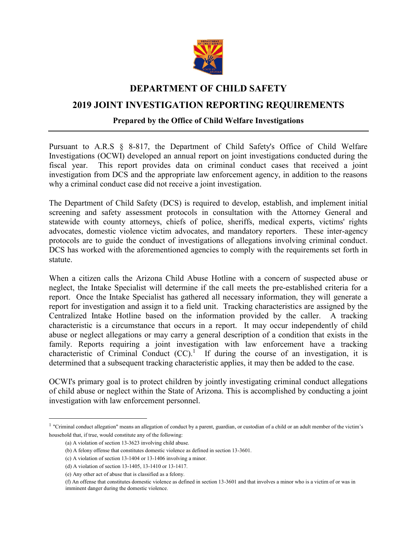

## **DEPARTMENT OF CHILD SAFETY**

# **2019 JOINT INVESTIGATION REPORTING REQUIREMENTS**

## **Prepared by the Office of Child Welfare Investigations**

Pursuant to A.R.S § 8-817, the Department of Child Safety's Office of Child Welfare Investigations (OCWI) developed an annual report on joint investigations conducted during the fiscal year. This report provides data on criminal conduct cases that received a joint investigation from DCS and the appropriate law enforcement agency, in addition to the reasons why a criminal conduct case did not receive a joint investigation.

The Department of Child Safety (DCS) is required to develop, establish, and implement initial screening and safety assessment protocols in consultation with the Attorney General and statewide with county attorneys, chiefs of police, sheriffs, medical experts, victims' rights advocates, domestic violence victim advocates, and mandatory reporters. These inter-agency protocols are to guide the conduct of investigations of allegations involving criminal conduct. DCS has worked with the aforementioned agencies to comply with the requirements set forth in statute.

When a citizen calls the Arizona Child Abuse Hotline with a concern of suspected abuse or neglect, the Intake Specialist will determine if the call meets the pre-established criteria for a report. Once the Intake Specialist has gathered all necessary information, they will generate a report for investigation and assign it to a field unit. Tracking characteristics are assigned by the Centralized Intake Hotline based on the information provided by the caller. A tracking characteristic is a circumstance that occurs in a report. It may occur independently of child abuse or neglect allegations or may carry a general description of a condition that exists in the family. Reports requiring a joint investigation with law enforcement have a tracking characteristic of Criminal Conduct  $(CC)$ <sup>1</sup> If during the course of an investigation, it is determined that a subsequent tracking characteristic applies, it may then be added to the case.

OCWI's primary goal is to protect children by jointly investigating criminal conduct allegations of child abuse or neglect within the State of Arizona. This is accomplished by conducting a joint investigation with law enforcement personnel.

 $\overline{a}$ 

<sup>&</sup>lt;sup>1</sup> "Criminal conduct allegation" means an allegation of conduct by a parent, guardian, or custodian of a child or an adult member of the victim's household that, if true, would constitute any of the following:

<sup>(</sup>a) A violation of section 13-3623 involving child abuse.

<sup>(</sup>b) A felony offense that constitutes domestic violence as defined in section 13-3601.

<sup>(</sup>c) A violation of section 13-1404 or 13-1406 involving a minor.

<sup>(</sup>d) A violation of section 13-1405, 13-1410 or 13-1417.

<sup>(</sup>e) Any other act of abuse that is classified as a felony.

<sup>(</sup>f) An offense that constitutes domestic violence as defined in section 13-3601 and that involves a minor who is a victim of or was in imminent danger during the domestic violence.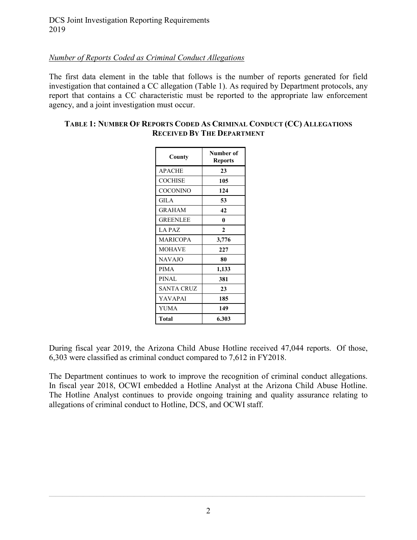## *Number of Reports Coded as Criminal Conduct Allegations*

The first data element in the table that follows is the number of reports generated for field investigation that contained a CC allegation (Table 1). As required by Department protocols, any report that contains a CC characteristic must be reported to the appropriate law enforcement agency, and a joint investigation must occur.

## **TABLE 1: NUMBER OF REPORTS CODED AS CRIMINAL CONDUCT (CC) ALLEGATIONS RECEIVED BY THE DEPARTMENT**

| County            | Number of<br><b>Reports</b> |  |  |
|-------------------|-----------------------------|--|--|
| <b>APACHE</b>     | 23                          |  |  |
| <b>COCHISE</b>    | 105                         |  |  |
| <b>COCONINO</b>   | 124                         |  |  |
| <b>GILA</b>       | 53                          |  |  |
| GRAHAM            | 42                          |  |  |
| GREENLEE          | 0                           |  |  |
| LA PAZ            | $\mathbf{2}$                |  |  |
| MARICOPA          | 3,776                       |  |  |
| MOHAVE            | 227                         |  |  |
| <b>NAVAJO</b>     | 80                          |  |  |
| <b>PIMA</b>       | 1,133                       |  |  |
| PINAL             | 381                         |  |  |
| <b>SANTA CRUZ</b> | 23                          |  |  |
| YAVAPAI           | 185                         |  |  |
| YUMA              | 149                         |  |  |
| Total             | 6.303                       |  |  |

During fiscal year 2019, the Arizona Child Abuse Hotline received 47,044 reports. Of those, 6,303 were classified as criminal conduct compared to 7,612 in FY2018.

The Department continues to work to improve the recognition of criminal conduct allegations. In fiscal year 2018, OCWI embedded a Hotline Analyst at the Arizona Child Abuse Hotline. The Hotline Analyst continues to provide ongoing training and quality assurance relating to allegations of criminal conduct to Hotline, DCS, and OCWI staff.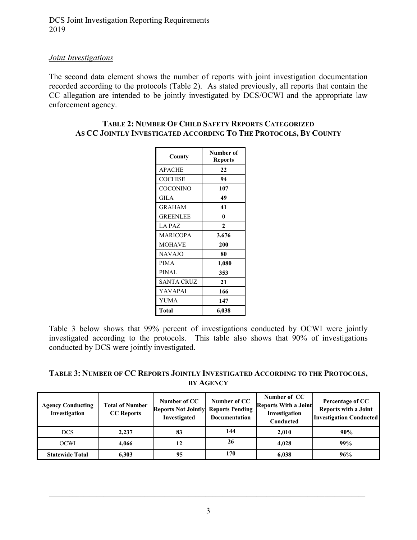DCS Joint Investigation Reporting Requirements 2019

### *Joint Investigations*

The second data element shows the number of reports with joint investigation documentation recorded according to the protocols (Table 2). As stated previously, all reports that contain the CC allegation are intended to be jointly investigated by DCS/OCWI and the appropriate law enforcement agency.

| County          | Number of<br><b>Reports</b> |  |  |
|-----------------|-----------------------------|--|--|
| <b>APACHE</b>   | 22                          |  |  |
| <b>COCHISE</b>  | 94                          |  |  |
| <b>COCONINO</b> | 107                         |  |  |
| <b>GILA</b>     | 49                          |  |  |
| <b>GRAHAM</b>   | 41                          |  |  |
| <b>GREENLEE</b> | 0                           |  |  |
| LA PAZ          | $\mathbf{2}$                |  |  |
| <b>MARICOPA</b> | 3,676                       |  |  |
| <b>MOHAVE</b>   | 200                         |  |  |
| <b>NAVAJO</b>   | 80                          |  |  |
| <b>PIMA</b>     | 1,080                       |  |  |
| <b>PINAL</b>    | 353                         |  |  |
| SANTA CRUZ      | 21                          |  |  |
| YAVAPAI         | 166                         |  |  |
| YUMA            | 147                         |  |  |
| Total           | 6,038                       |  |  |

#### **TABLE 2: NUMBER OF CHILD SAFETY REPORTS CATEGORIZED AS CC JOINTLY INVESTIGATED ACCORDING TO THE PROTOCOLS, BY COUNTY**

Table 3 below shows that 99% percent of investigations conducted by OCWI were jointly investigated according to the protocols. This table also shows that 90% of investigations conducted by DCS were jointly investigated.

| TABLE 3: NUMBER OF CC REPORTS JOINTLY INVESTIGATED ACCORDING TO THE PROTOCOLS, |
|--------------------------------------------------------------------------------|
| <b>BY AGENCY</b>                                                               |

| <b>Agency Conducting</b><br>Investigation | <b>Total of Number</b><br><b>CC</b> Reports | Number of CC<br><b>Reports Not Jointly Reports Pending</b><br>Investigated | Number of CC<br>Documentation | Number of CC<br><b>Reports With a Joint</b><br>Investigation<br>Conducted | Percentage of CC<br><b>Reports with a Joint</b><br><b>Investigation Conducted</b> |
|-------------------------------------------|---------------------------------------------|----------------------------------------------------------------------------|-------------------------------|---------------------------------------------------------------------------|-----------------------------------------------------------------------------------|
| <b>DCS</b>                                | 2.237                                       | 83                                                                         | 144                           | 2.010                                                                     | 90%                                                                               |
| <b>OCWI</b>                               | 4.066                                       |                                                                            | 26                            | 4.028                                                                     | 99%                                                                               |
| <b>Statewide Total</b>                    | 6.303                                       | 95                                                                         | 170                           | 6.038                                                                     | 96%                                                                               |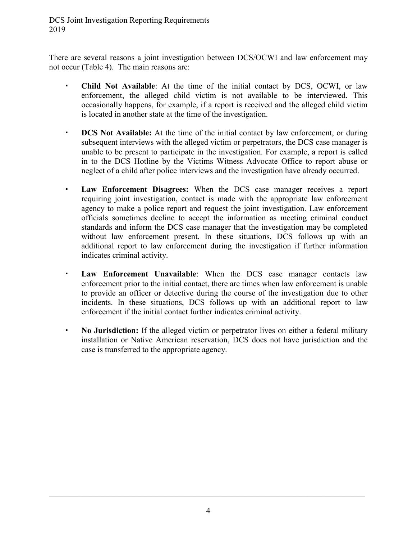DCS Joint Investigation Reporting Requirements 2019

There are several reasons a joint investigation between DCS/OCWI and law enforcement may not occur (Table 4). The main reasons are:

- **Child Not Available**: At the time of the initial contact by DCS, OCWI, or law enforcement, the alleged child victim is not available to be interviewed. This occasionally happens, for example, if a report is received and the alleged child victim is located in another state at the time of the investigation.
- **DCS Not Available:** At the time of the initial contact by law enforcement, or during subsequent interviews with the alleged victim or perpetrators, the DCS case manager is unable to be present to participate in the investigation. For example, a report is called in to the DCS Hotline by the Victims Witness Advocate Office to report abuse or neglect of a child after police interviews and the investigation have already occurred.
- **Law Enforcement Disagrees:** When the DCS case manager receives a report requiring joint investigation, contact is made with the appropriate law enforcement agency to make a police report and request the joint investigation. Law enforcement officials sometimes decline to accept the information as meeting criminal conduct standards and inform the DCS case manager that the investigation may be completed without law enforcement present. In these situations, DCS follows up with an additional report to law enforcement during the investigation if further information indicates criminal activity.
- **Law Enforcement Unavailable**: When the DCS case manager contacts law enforcement prior to the initial contact, there are times when law enforcement is unable to provide an officer or detective during the course of the investigation due to other incidents. In these situations, DCS follows up with an additional report to law enforcement if the initial contact further indicates criminal activity.
- **No Jurisdiction:** If the alleged victim or perpetrator lives on either a federal military installation or Native American reservation, DCS does not have jurisdiction and the case is transferred to the appropriate agency.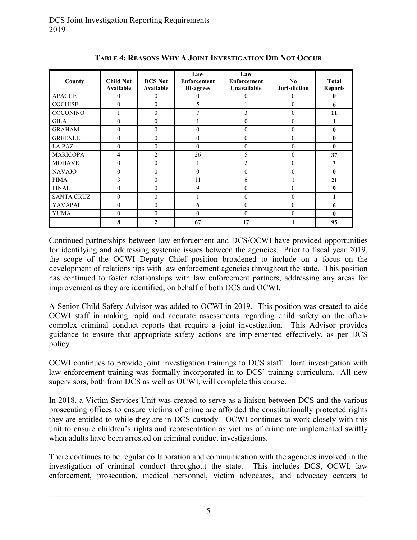| County            | <b>Child Not</b><br>Available | <b>DCS</b> Not<br>Available | Law<br><b>Enforcement</b><br><b>Disagrees</b> | Law<br><b>Enforcement</b><br>Unavailable | No<br><b>Jurisdiction</b> | <b>Total</b><br><b>Reports</b> |
|-------------------|-------------------------------|-----------------------------|-----------------------------------------------|------------------------------------------|---------------------------|--------------------------------|
| <b>APACHE</b>     | $\theta$                      | $\mathbf{0}$                | $\theta$                                      | $\theta$                                 | 0                         | 0                              |
| <b>COCHISE</b>    | $\theta$                      | $\theta$                    | 5                                             |                                          | $\mathbf{0}$              | 6                              |
| <b>COCONINO</b>   |                               | $\theta$                    | $\overline{7}$                                | 3                                        | $\theta$                  | 11                             |
| <b>GILA</b>       | $\Omega$                      | $\theta$                    |                                               | $\theta$                                 | $\Omega$                  |                                |
| <b>GRAHAM</b>     | $\theta$                      | $\mathbf{0}$                | $\theta$                                      | $\mathbf{0}$                             | $\theta$                  | $\bf{0}$                       |
| <b>GREENLEE</b>   | $\theta$                      | $\mathbf{0}$                | $\theta$                                      | $\theta$                                 | $\theta$                  | 0                              |
| <b>LAPAZ</b>      | $\theta$                      | $\mathbf{0}$                | $\theta$                                      | $\mathbf{0}$                             | $\theta$                  | $\mathbf{0}$                   |
| <b>MARICOPA</b>   | 4                             | $\overline{c}$              | 26                                            | 5                                        | $\theta$                  | 37                             |
| <b>MOHAVE</b>     | $\theta$                      | $\mathbf{0}$                |                                               | $\overline{c}$                           | $\mathbf{0}$              | 3                              |
| <b>NAVAJO</b>     | $\theta$                      | $\theta$                    | $\theta$                                      | $\theta$                                 | $\theta$                  | $\mathbf{0}$                   |
| <b>PIMA</b>       | 3                             | $\theta$                    | 11                                            | 6                                        |                           | 21                             |
| <b>PINAL</b>      | $\theta$                      | $\mathbf{0}$                | 9                                             | $\mathbf{0}$                             | $\theta$                  | 9                              |
| <b>SANTA CRUZ</b> | $\theta$                      | $\theta$                    |                                               | $\mathbf{0}$                             | $\theta$                  |                                |
| <b>YAVAPAI</b>    | $\theta$                      | $\mathbf{0}$                | 6                                             | $\mathbf{0}$                             | $\theta$                  | 6                              |
| <b>YUMA</b>       | $\theta$                      | $\mathbf{0}$                | $\theta$                                      | $\theta$                                 | $\theta$                  | $\mathbf{0}$                   |
|                   | 8                             | 2                           | 67                                            | 17                                       |                           | 95                             |

**TABLE 4: REASONS WHY A JOINT INVESTIGATION DID NOT OCCUR**

Continued partnerships between law enforcement and DCS/OCWI have provided opportunities for identifying and addressing systemic issues between the agencies. Prior to fiscal year 2019, the scope of the OCWI Deputy Chief position broadened to include on a focus on the development of relationships with law enforcement agencies throughout the state. This position has continued to foster relationships with law enforcement partners, addressing any areas for improvement as they are identified, on behalf of both DCS and OCWI.

A Senior Child Safety Advisor was added to OCWI in 2019. This position was created to aide OCWI staff in making rapid and accurate assessments regarding child safety on the oftencomplex criminal conduct reports that require a joint investigation. This Advisor provides guidance to ensure that appropriate safety actions are implemented effectively, as per DCS policy.

OCWI continues to provide joint investigation trainings to DCS staff. Joint investigation with law enforcement training was formally incorporated in to DCS' training curriculum. All new supervisors, both from DCS as well as OCWI, will complete this course.

In 2018, a Victim Services Unit was created to serve as a liaison between DCS and the various prosecuting offices to ensure victims of crime are afforded the constitutionally protected rights they are entitled to while they are in DCS custody. OCWI continues to work closely with this unit to ensure children's rights and representation as victims of crime are implemented swiftly when adults have been arrested on criminal conduct investigations.

There continues to be regular collaboration and communication with the agencies involved in the investigation of criminal conduct throughout the state. This includes DCS, OCWI, law enforcement, prosecution, medical personnel, victim advocates, and advocacy centers to